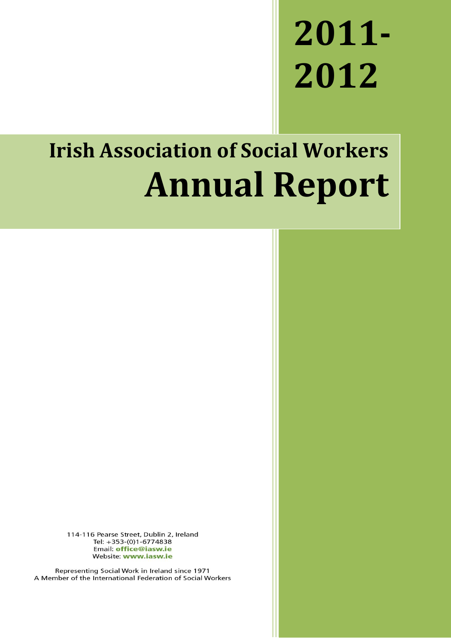## **2011- 2012**

## **Irish Association of Social Workers Annual Report**

114-116 Pearse Street, Dublin 2, Ireland Tel: +353-(0)1-6774838 Email: office@iasw.ie Website: www.iasw.ie

Representing Social Work in Ireland since 1971 A Member of the International Federation of Social Workers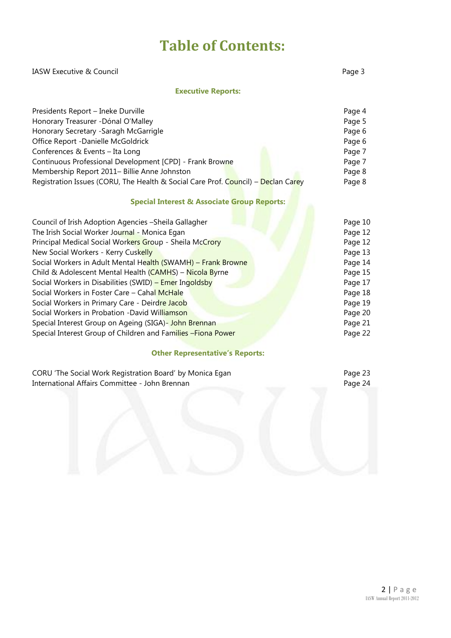### **Table of Contents:**

#### IASW Executive & Council and The Council Page 3

#### **Executive Reports:**

| Presidents Report - Ineke Durville                                                | Page 4 |
|-----------------------------------------------------------------------------------|--------|
| Honorary Treasurer - Dónal O'Malley                                               | Page 5 |
| Honorary Secretary - Saragh McGarrigle                                            | Page 6 |
| Office Report -Danielle McGoldrick                                                | Page 6 |
| Conferences & Events - Ita Long                                                   | Page 7 |
| Continuous Professional Development [CPD] - Frank Browne                          | Page 7 |
| Membership Report 2011- Billie Anne Johnston                                      | Page 8 |
| Registration Issues (CORU, The Health & Social Care Prof. Council) - Declan Carey | Page 8 |

#### **Special Interest & Associate Group Reports:**

| Council of Irish Adoption Agencies - Sheila Gallagher         | Page 10 |
|---------------------------------------------------------------|---------|
| The Irish Social Worker Journal - Monica Egan                 | Page 12 |
| Principal Medical Social Workers Group - Sheila McCrory       | Page 12 |
| New Social Workers - Kerry Cuskelly                           | Page 13 |
| Social Workers in Adult Mental Health (SWAMH) - Frank Browne  | Page 14 |
| Child & Adolescent Mental Health (CAMHS) - Nicola Byrne       | Page 15 |
| Social Workers in Disabilities (SWID) - Emer Ingoldsby        | Page 17 |
| Social Workers in Foster Care - Cahal McHale                  | Page 18 |
| Social Workers in Primary Care - Deirdre Jacob                | Page 19 |
| Social Workers in Probation - David Williamson                | Page 20 |
| Special Interest Group on Ageing (SIGA) - John Brennan        | Page 21 |
| Special Interest Group of Children and Families - Fiona Power | Page 22 |

#### **Other Representative's Reports:**

| CORU 'The Social Work Registration Board' by Monica Egan | Page 23 |
|----------------------------------------------------------|---------|
| International Affairs Committee - John Brennan           | Page 24 |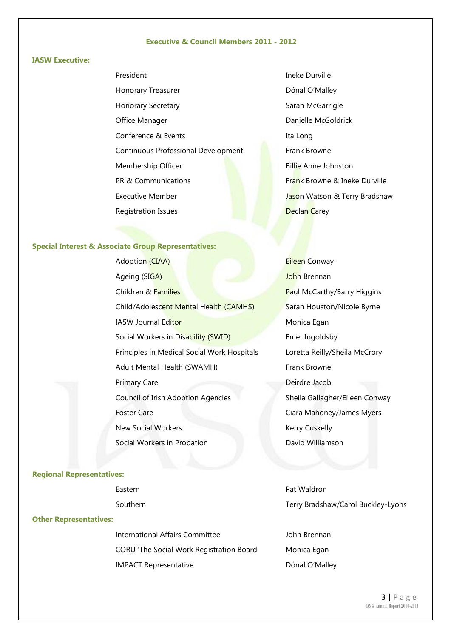#### **Executive & Council Members 2011 - 2012**

#### **IASW Executive:**

- President Honorary Treasurer Honorary Secretary Office Manager Conference & Events Continuous Professional Development Membership Officer PR & Communications Executive Member Registration Issues
- Ineke Durville Dónal O'Malley Sarah McGarrigle Danielle McGoldrick Ita Long Frank Browne Billie Anne Johnston Frank Browne & Ineke Durville Jason Watson & Terry Bradshaw **Declan Carey**

#### **Special Interest & Associate Group Representatives:**

Adoption (CIAA) Ageing (SIGA) Children & Families **Paul McCarthy/Barry Higgins** Child/Adolescent Mental Health (CAMHS) Sarah Houston/Nicole Byrne IASW Journal Editor Monica Egan Social Workers in Disability (SWID) Emer Ingoldsby Principles in Medical Social Work Hospitals Loretta Reilly/Sheila McCrory Adult Mental Health (SWAMH) Frank Browne Primary Care Deirdre Jacob Council of Irish Adoption Agencies Sheila Gallagher/Eileen Conway Foster Care Care Care Ciara Mahoney/James Myers New Social Workers **Kerry Cuskelly** Social Workers in Probation **David Williamson** 

# Eileen Conway John Brennan

#### **Regional Representatives:**

| Eastern  | Pat Waldron                        |
|----------|------------------------------------|
| Southern | Terry Bradshaw/Carol Buckley-Lyons |

#### **Other Representatives:**

International Affairs Committee **Grayting School** John Brennan CORU 'The Social Work Registration Board' IMPACT Representative

- Monica Egan
- Dónal O'Malley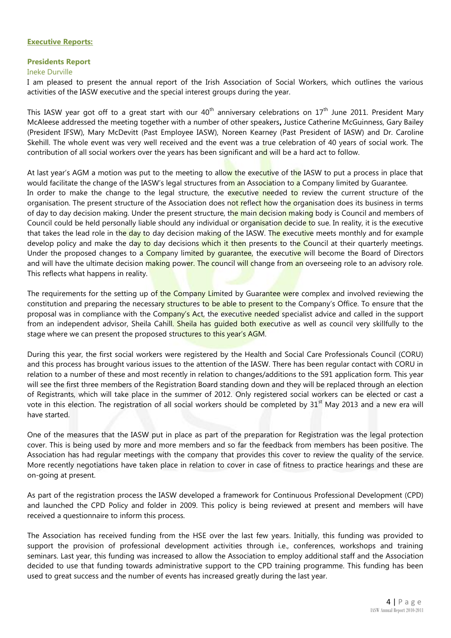#### **Executive Reports:**

#### **Presidents Report**

#### Ineke Durville

I am pleased to present the annual report of the Irish Association of Social Workers, which outlines the various activities of the IASW executive and the special interest groups during the year.

This IASW year got off to a great start with our  $40<sup>th</sup>$  anniversary celebrations on  $17<sup>th</sup>$  June 2011. President Mary McAleese addressed the meeting together with a number of other speakers**,** Justice Catherine McGuinness, Gary Bailey (President IFSW), Mary McDevitt (Past Employee IASW), Noreen Kearney (Past President of IASW) and Dr. Caroline Skehill. The whole event was very well received and the event was a true celebration of 40 years of social work. The contribution of all social workers over the years has been significant and will be a hard act to follow.

At last year's AGM a motion was put to the meeting to allow the executive of the IASW to put a process in place that would facilitate the change of the IASW's legal structures from an Association to a Company limited by Guarantee. In order to make the change to the legal structure, the executive needed to review the current structure of the organisation. The present structure of the Association does not reflect how the organisation does its business in terms of day to day decision making. Under the present structure, the main decision making body is Council and members of Council could be held personally liable should any individual or organisation decide to sue. In reality, it is the executive that takes the lead role in the day to day decision making of the IASW. The executive meets monthly and for example develop policy and make the day to day decisions which it then presents to the Council at their quarterly meetings. Under the proposed changes to a Company limited by quarantee, the executive will become the Board of Directors and will have the ultimate decision making power. The council will change from an overseeing role to an advisory role. This reflects what happens in reality.

The requirements for the setting up of the Company Limited by Guarantee were complex and involved reviewing the constitution and preparing the necessary structures to be able to present to the Company's Office. To ensure that the proposal was in compliance with the Company's Act, the executive needed specialist advice and called in the support from an independent advisor, Sheila Cahill. Sheila has quided both executive as well as council very skillfully to the stage where we can present the proposed structures to this year's AGM.

During this year, the first social workers were registered by the Health and Social Care Professionals Council (CORU) and this process has brought various issues to the attention of the IASW. There has been regular contact with CORU in relation to a number of these and most recently in relation to changes/additions to the S91 application form. This year will see the first three members of the Registration Board standing down and they will be replaced through an election of Registrants, which will take place in the summer of 2012. Only registered social workers can be elected or cast a vote in this election. The registration of all social workers should be completed by 31<sup>st</sup> May 2013 and a new era will have started.

One of the measures that the IASW put in place as part of the preparation for Registration was the legal protection cover. This is being used by more and more members and so far the feedback from members has been positive. The Association has had regular meetings with the company that provides this cover to review the quality of the service. More recently negotiations have taken place in relation to cover in case of fitness to practice hearings and these are on-going at present.

As part of the registration process the IASW developed a framework for Continuous Professional Development (CPD) and launched the CPD Policy and folder in 2009. This policy is being reviewed at present and members will have received a questionnaire to inform this process.

The Association has received funding from the HSE over the last few years. Initially, this funding was provided to support the provision of professional development activities through i.e., conferences, workshops and training seminars. Last year, this funding was increased to allow the Association to employ additional staff and the Association decided to use that funding towards administrative support to the CPD training programme. This funding has been used to great success and the number of events has increased greatly during the last year.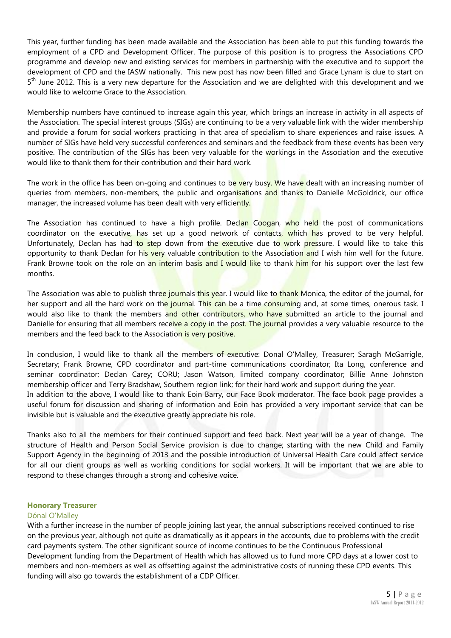This year, further funding has been made available and the Association has been able to put this funding towards the employment of a CPD and Development Officer. The purpose of this position is to progress the Associations CPD programme and develop new and existing services for members in partnership with the executive and to support the development of CPD and the IASW nationally. This new post has now been filled and Grace Lynam is due to start on 5<sup>th</sup> June 2012. This is a very new departure for the Association and we are delighted with this development and we would like to welcome Grace to the Association.

Membership numbers have continued to increase again this year, which brings an increase in activity in all aspects of the Association. The special interest groups (SIGs) are continuing to be a very valuable link with the wider membership and provide a forum for social workers practicing in that area of specialism to share experiences and raise issues. A number of SIGs have held very successful conferences and seminars and the feedback from these events has been very positive. The contribution of the SIGs has been very valuable for the workings in the Association and the executive would like to thank them for their contribution and their hard work.

The work in the office has been on-going and continues to be very busy. We have dealt with an increasing number of queries from members, non-members, the public and organisations and thanks to Danielle McGoldrick, our office manager, the increased volume has been dealt with very efficiently.

The Association has continued to have a high profile. Declan Coogan, who held the post of communications coordinator on the executive, has set up a good network of contacts, which has proved to be very helpful. Unfortunately, Declan has had to step down from the executive due to work pressure. I would like to take this opportunity to thank Declan for his very valuable contribution to the Association and I wish him well for the future. Frank Browne took on the role on an interim basis and I would like to thank him for his support over the last few months.

The Association was able to publish three journals this year. I would like to thank Monica, the editor of the journal, for her support and all the hard work on the journal. This can be a time consuming and, at some times, onerous task. I would also like to thank the members and other contributors, who have submitted an article to the journal and Danielle for ensuring that all members receive a copy in the post. The journal provides a very valuable resource to the members and the feed back to the Association is very positive.

In conclusion, I would like to thank all the members of executive: Donal O'Malley, Treasurer; Saragh McGarrigle, Secretary; Frank Browne, CPD coordinator and part-time communications coordinator; Ita Long, conference and seminar coordinator; Declan Carey; CORU; Jason Watson, limited company coordinator; Billie Anne Johnston membership officer and Terry Bradshaw, Southern region link; for their hard work and support during the year. In addition to the above, I would like to thank Eoin Barry, our Face Book moderator. The face book page provides a useful forum for discussion and sharing of information and Eoin has provided a very important service that can be invisible but is valuable and the executive greatly appreciate his role.

Thanks also to all the members for their continued support and feed back. Next year will be a year of change. The structure of Health and Person Social Service provision is due to change; starting with the new Child and Family Support Agency in the beginning of 2013 and the possible introduction of Universal Health Care could affect service for all our client groups as well as working conditions for social workers. It will be important that we are able to respond to these changes through a strong and cohesive voice.

#### **Honorary Treasurer**

#### Dónal O'Malley

With a further increase in the number of people joining last year, the annual subscriptions received continued to rise on the previous year, although not quite as dramatically as it appears in the accounts, due to problems with the credit card payments system. The other significant source of income continues to be the Continuous Professional Development funding from the Department of Health which has allowed us to fund more CPD days at a lower cost to members and non-members as well as offsetting against the administrative costs of running these CPD events. This funding will also go towards the establishment of a CDP Officer.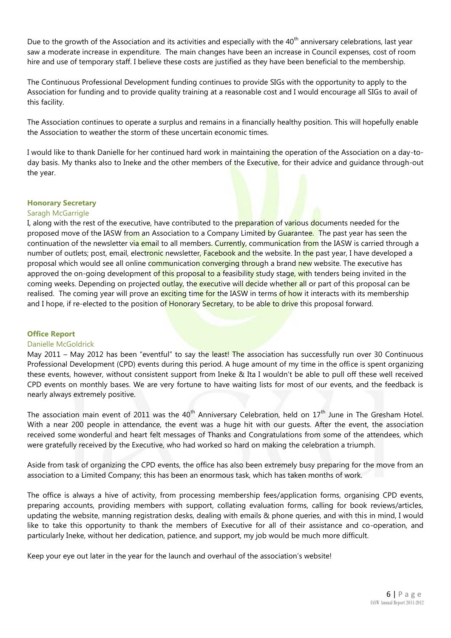Due to the growth of the Association and its activities and especially with the  $40<sup>th</sup>$  anniversary celebrations, last year saw a moderate increase in expenditure. The main changes have been an increase in Council expenses, cost of room hire and use of temporary staff. I believe these costs are justified as they have been beneficial to the membership.

The Continuous Professional Development funding continues to provide SIGs with the opportunity to apply to the Association for funding and to provide quality training at a reasonable cost and I would encourage all SIGs to avail of this facility.

The Association continues to operate a surplus and remains in a financially healthy position. This will hopefully enable the Association to weather the storm of these uncertain economic times.

I would like to thank Danielle for her continued hard work in maintaining the operation of the Association on a day-today basis. My thanks also to Ineke and the other members of the Executive, for their advice and guidance through-out the year.

#### **Honorary Secretary**

#### Saragh McGarrigle

I, along with the rest of the executive, have contributed to the preparation of various documents needed for the proposed move of the IASW from an Association to a Company Limited by Guarantee. The past year has seen the continuation of the newsletter via email to all members. Currently, communication from the IASW is carried through a number of outlets; post, email, electronic newsletter, Facebook and the website. In the past year, I have developed a proposal which would see all online communication converging through a brand new website. The executive has approved the on-going development of this proposal to a feasibility study stage, with tenders being invited in the coming weeks. Depending on projected outlay, the executive will decide whether all or part of this proposal can be realised. The coming year will prove an exciting time for the IASW in terms of how it interacts with its membership and I hope, if re-elected to the position of Honorary Secretary, to be able to drive this proposal forward.

#### **Office Report**

#### Danielle McGoldrick

May 2011 – May 2012 has been "eventful" to say the least! The association has successfully run over 30 Continuous Professional Development (CPD) events during this period. A huge amount of my time in the office is spent organizing these events, however, without consistent support from Ineke & Ita I wouldn't be able to pull off these well received CPD events on monthly bases. We are very fortune to have waiting lists for most of our events, and the feedback is nearly always extremely positive.

The association main event of 2011 was the 40<sup>th</sup> Anniversary Celebration, held on  $17<sup>th</sup>$  June in The Gresham Hotel. With a near 200 people in attendance, the event was a huge hit with our guests. After the event, the association received some wonderful and heart felt messages of Thanks and Congratulations from some of the attendees, which were gratefully received by the Executive, who had worked so hard on making the celebration a triumph.

Aside from task of organizing the CPD events, the office has also been extremely busy preparing for the move from an association to a Limited Company; this has been an enormous task, which has taken months of work.

The office is always a hive of activity, from processing membership fees/application forms, organising CPD events, preparing accounts, providing members with support, collating evaluation forms, calling for book reviews/articles, updating the website, manning registration desks, dealing with emails & phone queries, and with this in mind, I would like to take this opportunity to thank the members of Executive for all of their assistance and co-operation, and particularly Ineke, without her dedication, patience, and support, my job would be much more difficult.

Keep your eye out later in the year for the launch and overhaul of the association's website!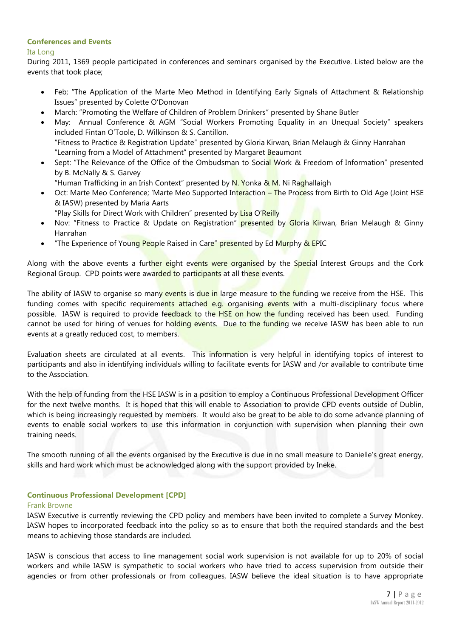#### **Conferences and Events**

#### Ita Long

During 2011, 1369 people participated in conferences and seminars organised by the Executive. Listed below are the events that took place;

- Feb; "The Application of the Marte Meo Method in Identifying Early Signals of Attachment & Relationship Issues" presented by Colette O'Donovan
- March: "Promoting the Welfare of Children of Problem Drinkers" presented by Shane Butler
- May: Annual Conference & AGM "Social Workers Promoting Equality in an Unequal Society" speakers included Fintan O'Toole, D. Wilkinson & S. Cantillon. "Fitness to Practice & Registration Update" presented by Gloria Kirwan, Brian Melaugh & Ginny Hanrahan "Learning from a Model of Attachment" presented by Margaret Beaumont
- Sept: "The Relevance of the Office of the Ombudsman to Social Work & Freedom of Information" presented by B. McNally & S. Garvey
	- "Human Trafficking in an Irish Context" presented by N. Yonka & M. Ni Raghallaigh
- Oct: Marte Meo Conference; 'Marte Meo Supported Interaction The Process from Birth to Old Age (Joint HSE & IASW) presented by Maria Aarts
	- "Play Skills for Direct Work with Children" presented by Lisa O'Reilly
- Nov: "Fitness to Practice & Update on Registration" presented by Gloria Kirwan, Brian Melaugh & Ginny Hanrahan
- "The Experience of Young People Raised in Care" presented by Ed Murphy & EPIC

Along with the above events a further eight events were organised by the Special Interest Groups and the Cork Regional Group. CPD points were awarded to participants at all these events.

The ability of IASW to organise so many events is due in large measure to the funding we receive from the HSE. This funding comes with specific requirements attached e.g. organising events with a multi-disciplinary focus where possible. IASW is required to provide feedback to the HSE on how the funding received has been used. Funding cannot be used for hiring of venues for holding events. Due to the funding we receive IASW has been able to run events at a greatly reduced cost, to members.

Evaluation sheets are circulated at all events. This information is very helpful in identifying topics of interest to participants and also in identifying individuals willing to facilitate events for IASW and /or available to contribute time to the Association.

With the help of funding from the HSE IASW is in a position to employ a Continuous Professional Development Officer for the next twelve months. It is hoped that this will enable to Association to provide CPD events outside of Dublin, which is being increasingly requested by members. It would also be great to be able to do some advance planning of events to enable social workers to use this information in conjunction with supervision when planning their own training needs.

The smooth running of all the events organised by the Executive is due in no small measure to Danielle's great energy, skills and hard work which must be acknowledged along with the support provided by Ineke.

#### **Continuous Professional Development [CPD]**

#### Frank Browne

IASW Executive is currently reviewing the CPD policy and members have been invited to complete a Survey Monkey. IASW hopes to incorporated feedback into the policy so as to ensure that both the required standards and the best means to achieving those standards are included.

IASW is conscious that access to line management social work supervision is not available for up to 20% of social workers and while IASW is sympathetic to social workers who have tried to access supervision from outside their agencies or from other professionals or from colleagues, IASW believe the ideal situation is to have appropriate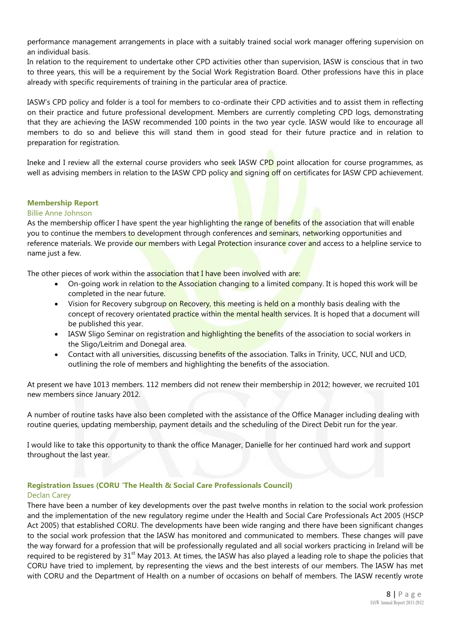performance management arrangements in place with a suitably trained social work manager offering supervision on an individual basis.

In relation to the requirement to undertake other CPD activities other than supervision, IASW is conscious that in two to three years, this will be a requirement by the Social Work Registration Board. Other professions have this in place already with specific requirements of training in the particular area of practice.

IASW's CPD policy and folder is a tool for members to co-ordinate their CPD activities and to assist them in reflecting on their practice and future professional development. Members are currently completing CPD logs, demonstrating that they are achieving the IASW recommended 100 points in the two year cycle. IASW would like to encourage all members to do so and believe this will stand them in good stead for their future practice and in relation to preparation for registration.

Ineke and I review all the external course providers who seek IASW CPD point allocation for course programmes, as well as advising members in relation to the IASW CPD policy and signing off on certificates for IASW CPD achievement.

#### **Membership Report**

#### Billie Anne Johnson

As the membership officer I have spent the year highlighting the range of benefits of the association that will enable you to continue the members to development through conferences and seminars, networking opportunities and reference materials. We provide our members with Legal Protection insurance cover and access to a helpline service to name just a few.

The other pieces of work within the association that I have been involved with are:

- On-going work in relation to the Association changing to a limited company. It is hoped this work will be completed in the near future.
- Vision for Recovery subgroup on Recovery, this meeting is held on a monthly basis dealing with the concept of recovery orientated practice within the mental health services. It is hoped that a document will be published this year.
- IASW Sligo Seminar on registration and highlighting the benefits of the association to social workers in the Sligo/Leitrim and Donegal area.
- Contact with all universities, discussing benefits of the association. Talks in Trinity, UCC, NUI and UCD, outlining the role of members and highlighting the benefits of the association.

At present we have 1013 members. 112 members did not renew their membership in 2012; however, we recruited 101 new members since January 2012.

A number of routine tasks have also been completed with the assistance of the Office Manager including dealing with routine queries, updating membership, payment details and the scheduling of the Direct Debit run for the year.

I would like to take this opportunity to thank the office Manager, Danielle for her continued hard work and support throughout the last year.

#### **Registration Issues (CORU 'The Health & Social Care Professionals Council)**

#### Declan Carey

There have been a number of key developments over the past twelve months in relation to the social work profession and the implementation of the new regulatory regime under the Health and Social Care Professionals Act 2005 (HSCP Act 2005) that established CORU. The developments have been wide ranging and there have been significant changes to the social work profession that the IASW has monitored and communicated to members. These changes will pave the way forward for a profession that will be professionally regulated and all social workers practicing in Ireland will be required to be registered by  $31<sup>st</sup>$  May 2013. At times, the IASW has also played a leading role to shape the policies that CORU have tried to implement, by representing the views and the best interests of our members. The IASW has met with CORU and the Department of Health on a number of occasions on behalf of members. The IASW recently wrote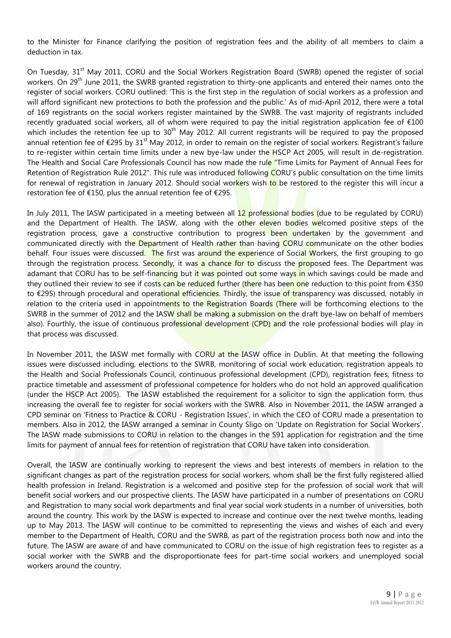to the Minister for Finance clarifying the position of registration fees and the ability of all members to claim a deduction in tax.

On Tuesday, 31<sup>st</sup> May 2011, CORU and the Social Workers Registration Board (SWRB) opened the register of social workers. On 29<sup>th</sup> June 2011, the SWRB granted registration to thirty-one applicants and entered their names onto the register of social workers. CORU outlined: 'This is the first step in the regulation of social workers as a profession and will afford significant new protections to both the profession and the public.' As of mid-April 2012, there were a total of 169 registrants on the social workers register maintained by the SWRB. The vast majority of registrants included recently graduated social workers, all of whom were required to pay the initial registration application fee of €100 which includes the retention fee up to  $30<sup>th</sup>$  May 2012. All current registrants will be required to pay the proposed annual retention fee of  $\epsilon$ 295 by 31<sup>st</sup> May 2012, in order to remain on the register of social workers. Registrant's failure to re-register within certain time limits under a new bye-law under the HSCP Act 2005, will result in de-registration. The Health and Social Care Professionals Council has now made the rule "Time Limits for Payment of Annual Fees for Retention of Registration Rule 2012". This rule was introduced following CORU's public consultation on the time limits for renewal of registration in January 2012. Should social workers wish to be restored to the register this will incur a restoration fee of €150, plus the annual retention fee of €295.

In July 2011, The IASW participated in a meeting between all 12 professional bodies (due to be regulated by CORU) and the Department of Health. The IASW, along with the other eleven bodies welcomed positive steps of the registration process, gave a constructive contribution to progress been undertaken by the government and communicated directly with the Department of Health rather than having CORU communicate on the other bodies behalf. Four issues were discussed. The first was around the experience of Social Workers, the first grouping to go through the registration process. Secondly, it was a chance for to discuss the proposed fees. The Department was adamant that CORU has to be self-financing but it was pointed out some ways in which savings could be made and they outlined their review to see if costs can be reduced further (there has been one reduction to this point from  $\epsilon$ 350 to €295) through procedural and operational efficiencies. Thirdly, the issue of transparency was discussed, notably in relation to the criteria used in appointments to the Registration Boards (There will be forthcoming elections to the SWRB in the summer of 2012 and the IASW shall be making a submission on the draft bye-law on behalf of members also). Fourthly, the issue of continuous professional development (CPD) and the role professional bodies will play in that process was discussed.

In November 2011, the IASW met formally with CORU at the IASW office in Dublin. At that meeting the following issues were discussed including, elections to the SWRB, monitoring of social work education, registration appeals to the Health and Social Professionals Council, continuous professional development (CPD), registration fees, fitness to practice timetable and assessment of professional competence for holders who do not hold an approved qualification (under the HSCP Act 2005). The IASW established the requirement for a solicitor to sign the application form, thus increasing the overall fee to register for social workers with the SWRB. Also in November 2011, the IASW arranged a CPD seminar on 'Fitness to Practice & CORU - Registration Issues', in which the CEO of CORU made a presentation to members. Also in 2012, the IASW arranged a seminar in County Sligo on 'Update on Registration for Social Workers'. The IASW made submissions to CORU in relation to the changes in the S91 application for registration and the time limits for payment of annual fees for retention of registration that CORU have taken into consideration.

Overall, the IASW are continually working to represent the views and best interests of members in relation to the significant changes as part of the registration process for social workers, whom shall be the first fully registered allied health profession in Ireland. Registration is a welcomed and positive step for the profession of social work that will benefit social workers and our prospective clients. The IASW have participated in a number of presentations on CORU and Registration to many social work departments and final year social work students in a number of universities, both around the country. This work by the IASW is expected to increase and continue over the next twelve months, leading up to May 2013. The IASW will continue to be committed to representing the views and wishes of each and every member to the Department of Health, CORU and the SWRB, as part of the registration process both now and into the future. The IASW are aware of and have communicated to CORU on the issue of high registration fees to register as a social worker with the SWRB and the disproportionate fees for part-time social workers and unemployed social workers around the country.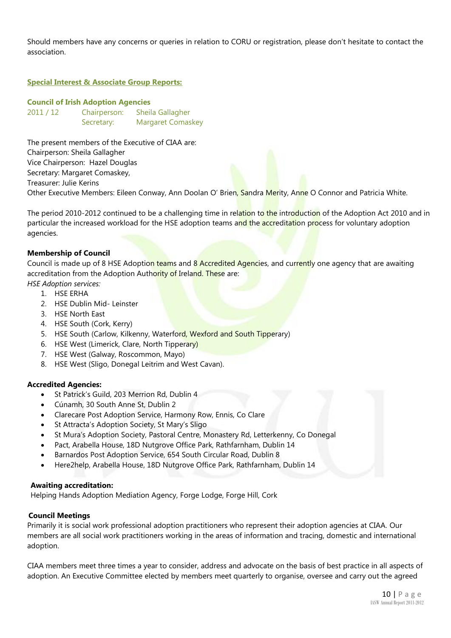Should members have any concerns or queries in relation to CORU or registration, please don't hesitate to contact the association.

#### **Special Interest & Associate Group Reports:**

#### **Council of Irish Adoption Agencies**

2011 / 12 Chairperson: Sheila Gallagher Secretary: Margaret Comaskey

The present members of the Executive of CIAA are: Chairperson: Sheila Gallagher Vice Chairperson: Hazel Douglas Secretary: Margaret Comaskey,

Treasurer: Julie Kerins

Other Executive Members: Eileen Conway, Ann Doolan O' Brien, Sandra Merity, Anne O Connor and Patricia White.

The period 2010-2012 continued to be a challenging time in relation to the introduction of the Adoption Act 2010 and in particular the increased workload for the HSE adoption teams and the accreditation process for voluntary adoption agencies.

#### **Membership of Council**

Council is made up of 8 HSE Adoption teams and 8 Accredited Agencies, and currently one agency that are awaiting accreditation from the Adoption Authority of Ireland. These are:

*HSE Adoption services:* 

- 1. HSE ERHA
- 2. HSE Dublin Mid- Leinster
- 3. HSE North East
- 4. HSE South (Cork, Kerry)
- 5. HSE South (Carlow, Kilkenny, Waterford, Wexford and South Tipperary)
- 6. HSE West (Limerick, Clare, North Tipperary)
- 7. HSE West (Galway, Roscommon, Mayo)
- 8. HSE West (Sligo, Donegal Leitrim and West Cavan).

#### **Accredited Agencies:**

- St Patrick's Guild, 203 Merrion Rd, Dublin 4
- Cúnamh, 30 South Anne St, Dublin 2
- Clarecare Post Adoption Service, Harmony Row, Ennis, Co Clare
- St Attracta's Adoption Society, St Mary's Sligo
- St Mura's Adoption Society, Pastoral Centre, Monastery Rd, Letterkenny, Co Donegal
- Pact, Arabella House, 18D Nutgrove Office Park, Rathfarnham, Dublin 14
- Barnardos Post Adoption Service, 654 South Circular Road, Dublin 8
- Here2help, Arabella House, 18D Nutgrove Office Park, Rathfarnham, Dublin 14

#### **Awaiting accreditation:**

Helping Hands Adoption Mediation Agency, Forge Lodge, Forge Hill, Cork

#### **Council Meetings**

Primarily it is social work professional adoption practitioners who represent their adoption agencies at CIAA. Our members are all social work practitioners working in the areas of information and tracing, domestic and international adoption.

CIAA members meet three times a year to consider, address and advocate on the basis of best practice in all aspects of adoption. An Executive Committee elected by members meet quarterly to organise, oversee and carry out the agreed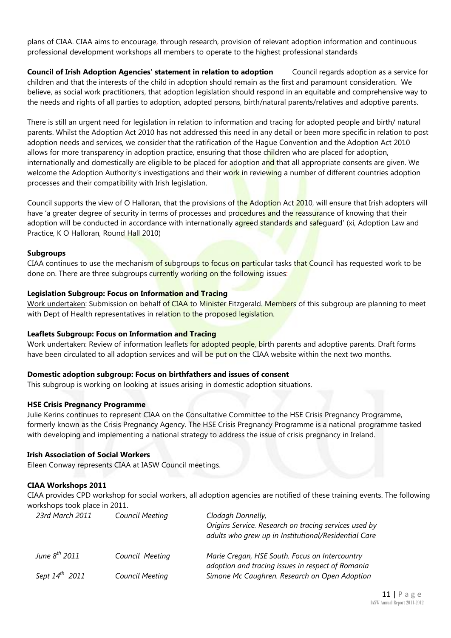plans of CIAA. CIAA aims to encourage, through research, provision of relevant adoption information and continuous professional development workshops all members to operate to the highest professional standards

**Council of Irish Adoption Agencies' statement in relation to adoption** Council regards adoption as a service for children and that the interests of the child in adoption should remain as the first and paramount consideration. We believe, as social work practitioners, that adoption legislation should respond in an equitable and comprehensive way to the needs and rights of all parties to adoption, adopted persons, birth/natural parents/relatives and adoptive parents.

There is still an urgent need for legislation in relation to information and tracing for adopted people and birth/ natural parents. Whilst the Adoption Act 2010 has not addressed this need in any detail or been more specific in relation to post adoption needs and services, we consider that the ratification of the Hague Convention and the Adoption Act 2010 allows for more transparency in adoption practice, ensuring that those children who are placed for adoption, internationally and domestically are eligible to be placed for adoption and that all appropriate consents are given. We welcome the Adoption Authority's investigations and their work in reviewing a number of different countries adoption processes and their compatibility with Irish legislation.

Council supports the view of O Halloran, that the provisions of the Adoption Act 2010, will ensure that Irish adopters will have 'a greater degree of security in terms of processes and procedures and the reassurance of knowing that their adoption will be conducted in accordance with internationally agreed standards and safequard' (xi, Adoption Law and Practice, K O Halloran, Round Hall 2010)

#### **Subgroups**

CIAA continues to use the mechanism of subgroups to focus on particular tasks that Council has requested work to be done on. There are three subgroups currently working on the following issues:

#### **Legislation Subgroup: Focus on Information and Tracing**

Work undertaken: Submission on behalf of CIAA to Minister Fitzgerald. Members of this subgroup are planning to meet with Dept of Health representatives in relation to the proposed legislation.

#### **Leaflets Subgroup: Focus on Information and Tracing**

Work undertaken: Review of information leaflets for adopted people, birth parents and adoptive parents. Draft forms have been circulated to all adoption services and will be put on the CIAA website within the next two months.

#### **Domestic adoption subgroup: Focus on birthfathers and issues of consent**

This subgroup is working on looking at issues arising in domestic adoption situations.

#### **HSE Crisis Pregnancy Programme**

Julie Kerins continues to represent CIAA on the Consultative Committee to the HSE Crisis Pregnancy Programme, formerly known as the Crisis Pregnancy Agency. The HSE Crisis Pregnancy Programme is a national programme tasked with developing and implementing a national strategy to address the issue of crisis pregnancy in Ireland.

#### **Irish Association of Social Workers**

Eileen Conway represents CIAA at IASW Council meetings.

#### **CIAA Workshops 2011**

CIAA provides CPD workshop for social workers, all adoption agencies are notified of these training events. The following workshops took place in 2011.

| 23rd March 2011     | Council Meeting | Clodagh Donnelly,<br>Origins Service. Research on tracing services used by<br>adults who grew up in Institutional/Residential Care |
|---------------------|-----------------|------------------------------------------------------------------------------------------------------------------------------------|
| June $8^{th}$ 2011  | Council Meeting | Marie Cregan, HSE South. Focus on Intercountry<br>adoption and tracing issues in respect of Romania                                |
| Sept $14^{th}$ 2011 | Council Meeting | Simone Mc Caughren. Research on Open Adoption                                                                                      |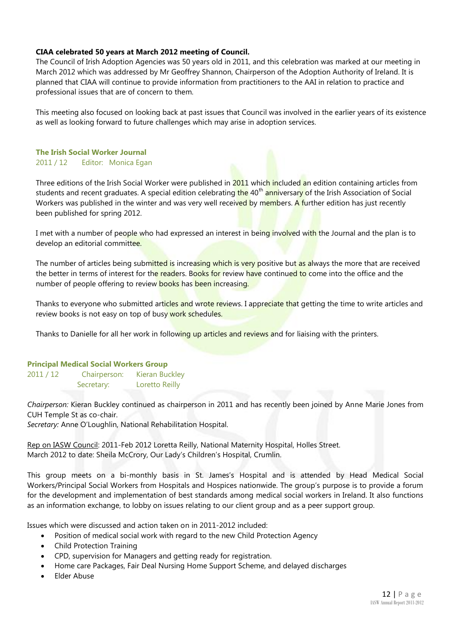#### **CIAA celebrated 50 years at March 2012 meeting of Council.**

The Council of Irish Adoption Agencies was 50 years old in 2011, and this celebration was marked at our meeting in March 2012 which was addressed by Mr Geoffrey Shannon, Chairperson of the Adoption Authority of Ireland. It is planned that CIAA will continue to provide information from practitioners to the AAI in relation to practice and professional issues that are of concern to them.

This meeting also focused on looking back at past issues that Council was involved in the earlier years of its existence as well as looking forward to future challenges which may arise in adoption services.

#### **The Irish Social Worker Journal** 2011 / 12 Editor: Monica Egan

Three editions of the Irish Social Worker were published in 2011 which included an edition containing articles from students and recent graduates. A special edition celebrating the 40<sup>th</sup> anniversary of the Irish Association of Social Workers was published in the winter and was very well received by members. A further edition has just recently been published for spring 2012.

I met with a number of people who had expressed an interest in being involved with the Journal and the plan is to develop an editorial committee.

The number of articles being submitted is increasing which is very positive but as always the more that are received the better in terms of interest for the readers. Books for review have continued to come into the office and the number of people offering to review books has been increasing.

Thanks to everyone who submitted articles and wrote reviews. I appreciate that getting the time to write articles and review books is not easy on top of busy work schedules.

Thanks to Danielle for all her work in following up articles and reviews and for liaising with the printers.

#### **Principal Medical Social Workers Group**

2011 / 12 Chairperson: Kieran Buckley Secretary: Loretto Reilly

*Chairperson:* Kieran Buckley continued as chairperson in 2011 and has recently been joined by Anne Marie Jones from CUH Temple St as co-chair.

*Secretary:* Anne O'Loughlin, National Rehabilitation Hospital.

Rep on IASW Council: 2011-Feb 2012 Loretta Reilly, National Maternity Hospital, Holles Street. March 2012 to date: Sheila McCrory, Our Lady's Children's Hospital, Crumlin.

This group meets on a bi-monthly basis in St. James's Hospital and is attended by Head Medical Social Workers/Principal Social Workers from Hospitals and Hospices nationwide. The group's purpose is to provide a forum for the development and implementation of best standards among medical social workers in Ireland. It also functions as an information exchange, to lobby on issues relating to our client group and as a peer support group.

Issues which were discussed and action taken on in 2011-2012 included:

- Position of medical social work with regard to the new Child Protection Agency
- Child Protection Training
- CPD, supervision for Managers and getting ready for registration.
- Home care Packages, Fair Deal Nursing Home Support Scheme, and delayed discharges
- Elder Abuse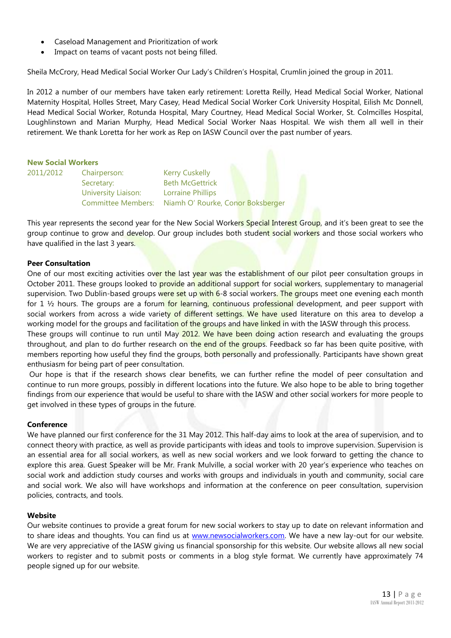- Caseload Management and Prioritization of work
- Impact on teams of vacant posts not being filled.

Sheila McCrory, Head Medical Social Worker Our Lady's Children's Hospital, Crumlin joined the group in 2011.

In 2012 a number of our members have taken early retirement: Loretta Reilly, Head Medical Social Worker, National Maternity Hospital, Holles Street, Mary Casey, Head Medical Social Worker Cork University Hospital, Eilish Mc Donnell, Head Medical Social Worker, Rotunda Hospital, Mary Courtney, Head Medical Social Worker, St. Colmcilles Hospital, Loughlinstown and Marian Murphy, Head Medical Social Worker Naas Hospital. We wish them all well in their retirement. We thank Loretta for her work as Rep on IASW Council over the past number of years.

#### **New Social Workers**

| Chairperson:        | <b>Kerry Cuskelly</b>                                |
|---------------------|------------------------------------------------------|
| Secretary:          | <b>Beth McGettrick</b>                               |
| University Liaison: | <b>Lorraine Phillips</b>                             |
|                     | Committee Members: Niamh O' Rourke, Conor Boksberger |
|                     |                                                      |

This year represents the second year for the New Social Workers Special Interest Group, and it's been great to see the group continue to grow and develop. Our group includes both student social workers and those social workers who have qualified in the last 3 years.

#### **Peer Consultation**

One of our most exciting activities over the last year was the establishment of our pilot peer consultation groups in October 2011. These groups looked to provide an additional support for social workers, supplementary to managerial supervision. Two Dublin-based groups were set up with 6-8 social workers. The groups meet one evening each month for 1  $\frac{1}{2}$  hours. The groups are a forum for learning, continuous professional development, and peer support with social workers from across a wide variety of different settings. We have used literature on this area to develop a working model for the groups and facilitation of the groups and have linked in with the IASW through this process.

These groups will continue to run until May 2012. We have been doing action research and evaluating the groups throughout, and plan to do further research on the end of the groups. Feedback so far has been quite positive, with members reporting how useful they find the groups, both personally and professionally. Participants have shown great enthusiasm for being part of peer consultation.

Our hope is that if the research shows clear benefits, we can further refine the model of peer consultation and continue to run more groups, possibly in different locations into the future. We also hope to be able to bring together findings from our experience that would be useful to share with the IASW and other social workers for more people to get involved in these types of groups in the future.

#### **Conference**

We have planned our first conference for the 31 May 2012. This half-day aims to look at the area of supervision, and to connect theory with practice, as well as provide participants with ideas and tools to improve supervision. Supervision is an essential area for all social workers, as well as new social workers and we look forward to getting the chance to explore this area. Guest Speaker will be Mr. Frank Mulville, a social worker with 20 year's experience who teaches on social work and addiction study courses and works with groups and individuals in youth and community, social care and social work. We also will have workshops and information at the conference on peer consultation, supervision policies, contracts, and tools.

#### **Website**

Our website continues to provide a great forum for new social workers to stay up to date on relevant information and to share ideas and thoughts. You can find us at [www.newsocialworkers.com.](http://www.newsocialworkers.com/) We have a new lay-out for our website. We are very appreciative of the IASW giving us financial sponsorship for this website. Our website allows all new social workers to register and to submit posts or comments in a blog style format. We currently have approximately 74 people signed up for our website.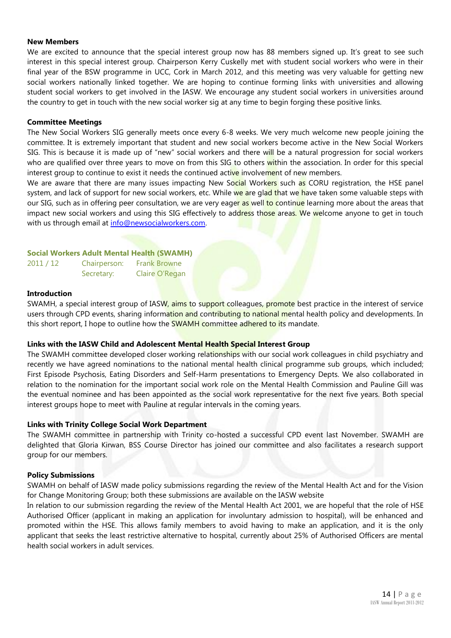#### **New Members**

We are excited to announce that the special interest group now has 88 members signed up. It's great to see such interest in this special interest group. Chairperson Kerry Cuskelly met with student social workers who were in their final year of the BSW programme in UCC, Cork in March 2012, and this meeting was very valuable for getting new social workers nationally linked together. We are hoping to continue forming links with universities and allowing student social workers to get involved in the IASW. We encourage any student social workers in universities around the country to get in touch with the new social worker sig at any time to begin forging these positive links.

#### **Committee Meetings**

The New Social Workers SIG generally meets once every 6-8 weeks. We very much welcome new people joining the committee. It is extremely important that student and new social workers become active in the New Social Workers SIG. This is because it is made up of "new" social workers and there will be a natural progression for social workers who are qualified over three years to move on from this SIG to others within the association. In order for this special interest group to continue to exist it needs the continued active involvement of new members.

We are aware that there are many issues impacting New Social Workers such as CORU registration, the HSE panel system, and lack of support for new social workers, etc. While we are glad that we have taken some valuable steps with our SIG, such as in offering peer consultation, we are very eager as well to continue learning more about the areas that impact new social workers and using this SIG effectively to address those areas. We welcome anyone to get in touch with us through email at info@newsocialworkers.com.

#### **Social Workers Adult Mental Health (SWAMH)**

| Chairperson: | <b>Frank Browne</b> |
|--------------|---------------------|
| Secretary:   | Claire O'Regan      |

#### **Introduction**

 $2011 / 12$ 

SWAMH, a special interest group of IASW, aims to support colleagues, promote best practice in the interest of service users through CPD events, sharing information and contributing to national mental health policy and developments. In this short report, I hope to outline how the **SWAMH** committee adhered to its mandate.

#### **Links with the IASW Child and Adolescent Mental Health Special Interest Group**

The SWAMH committee developed closer working relationships with our social work colleagues in child psychiatry and recently we have agreed nominations to the national mental health clinical programme sub groups, which included; First Episode Psychosis, Eating Disorders and Self-Harm presentations to Emergency Depts. We also collaborated in relation to the nomination for the important social work role on the Mental Health Commission and Pauline Gill was the eventual nominee and has been appointed as the social work representative for the next five years. Both special interest groups hope to meet with Pauline at regular intervals in the coming years.

#### **Links with Trinity College Social Work Department**

The SWAMH committee in partnership with Trinity co-hosted a successful CPD event last November. SWAMH are delighted that Gloria Kirwan, BSS Course Director has joined our committee and also facilitates a research support group for our members.

#### **Policy Submissions**

SWAMH on behalf of IASW made policy submissions regarding the review of the Mental Health Act and for the Vision for Change Monitoring Group; both these submissions are available on the IASW website

In relation to our submission regarding the review of the Mental Health Act 2001, we are hopeful that the role of HSE Authorised Officer (applicant in making an application for involuntary admission to hospital), will be enhanced and promoted within the HSE. This allows family members to avoid having to make an application, and it is the only applicant that seeks the least restrictive alternative to hospital, currently about 25% of Authorised Officers are mental health social workers in adult services.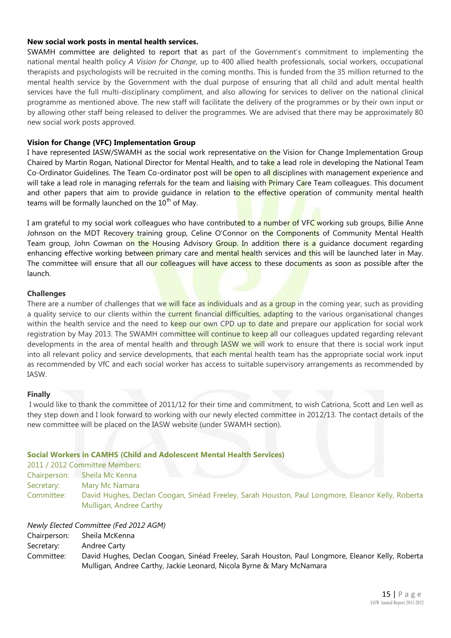#### **New social work posts in mental health services.**

SWAMH committee are delighted to report that as part of the Government's commitment to implementing the national mental health policy *A Vision for Change*, up to 400 allied health professionals, social workers, occupational therapists and psychologists will be recruited in the coming months. This is funded from the 35 million returned to the mental health service by the Government with the dual purpose of ensuring that all child and adult mental health services have the full multi-disciplinary compliment, and also allowing for services to deliver on the national clinical programme as mentioned above. The new staff will facilitate the delivery of the programmes or by their own input or by allowing other staff being released to deliver the programmes. We are advised that there may be approximately 80 new social work posts approved.

#### **Vision for Change (VFC) Implementation Group**

I have represented IASW/SWAMH as the social work representative on the Vision for Change Implementation Group Chaired by Martin Rogan, National Director for Mental Health, and to take a lead role in developing the National Team Co-Ordinator Guidelines. The Team Co-ordinator post will be open to all disciplines with management experience and will take a lead role in managing referrals for the team and liaising with Primary Care Team colleagues. This document and other papers that aim to provide guidance in relation to the effective operation of community mental health teams will be formally launched on the  $10^{th}$  of May.

I am grateful to my social work colleagues who have contributed to a number of VFC working sub groups, Billie Anne Johnson on the MDT Recovery training group, Celine O'Connor on the Components of Community Mental Health Team group, John Cowman on the Housing Advisory Group. In addition there is a guidance document regarding enhancing effective working between primary care and mental health services and this will be launched later in May. The committee will ensure that all our colleagues will have access to these documents as soon as possible after the launch.

#### **Challenges**

There are a number of challenges that we will face as individuals and as a group in the coming year, such as providing a quality service to our clients within the current financial difficulties, adapting to the various organisational changes within the health service and the need to keep our own CPD up to date and prepare our application for social work registration by May 2013. The SWAMH committee will continue to keep all our colleagues updated regarding relevant developments in the area of mental health and through IASW we will work to ensure that there is social work input into all relevant policy and service developments, that each mental health team has the appropriate social work input as recommended by VfC and each social worker has access to suitable supervisory arrangements as recommended by IASW.

#### **Finally**

I would like to thank the committee of 2011/12 for their time and commitment, to wish Catriona, Scott and Len well as they step down and I look forward to working with our newly elected committee in 2012/13. The contact details of the new committee will be placed on the IASW website (under SWAMH section).

#### **Social Workers in CAMHS (Child and Adolescent Mental Health Services)**

|              | 2011 / 2012 Committee Members:                                                                                               |
|--------------|------------------------------------------------------------------------------------------------------------------------------|
| Chairperson: | Sheila Mc Kenna                                                                                                              |
| Secretary:   | Mary Mc Namara                                                                                                               |
| Committee:   | David Hughes, Declan Coogan, Sinéad Freeley, Sarah Houston, Paul Longmore, Eleanor Kelly, Roberta<br>Mulligan, Andree Carthy |

#### *Newly Elected Committee (Fed 2012 AGM)*

Chairperson: Sheila McKenna

- Secretary: Andree Carty
- Committee: David Hughes, Declan Coogan, Sinéad Freeley, Sarah Houston, Paul Longmore, Eleanor Kelly, Roberta Mulligan, Andree Carthy, Jackie Leonard, Nicola Byrne & Mary McNamara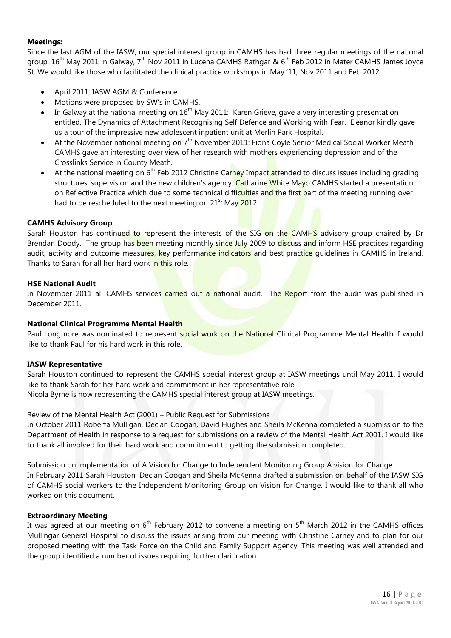#### **Meetings:**

Since the last AGM of the IASW, our special interest group in CAMHS has had three regular meetings of the national group,  $16^{th}$  May 2011 in Galway,  $7^{th}$  Nov 2011 in Lucena CAMHS Rathgar &  $6^{th}$  Feb 2012 in Mater CAMHS James Joyce St. We would like those who facilitated the clinical practice workshops in May '11, Nov 2011 and Feb 2012

- April 2011, IASW AGM & Conference.
- Motions were proposed by SW's in CAMHS.
- In Galway at the national meeting on  $16<sup>th</sup>$  May 2011: Karen Grieve, gave a very interesting presentation entitled, The Dynamics of Attachment Recognising Self Defence and Working with Fear. Eleanor kindly gave us a tour of the impressive new adolescent inpatient unit at Merlin Park Hospital.
- At the November national meeting on 7<sup>th</sup> November 2011: Fiona Coyle Senior Medical Social Worker Meath CAMHS gave an interesting over view of her research with mothers experiencing depression and of the Crosslinks Service in County Meath.
- At the national meeting on 6<sup>th</sup> Feb 2012 Christine Carney Impact attended to discuss issues including grading structures, supervision and the new children's agency. Catharine White Mayo CAMHS started a presentation on Reflective Practice which due to some technical difficulties and the first part of the meeting running over had to be rescheduled to the next meeting on  $21<sup>st</sup>$  May 2012.

#### **CAMHS Advisory Group**

Sarah Houston has continued to represent the interests of the SIG on the CAMHS advisory group chaired by Dr Brendan Doody. The group has been meeting monthly since July 2009 to discuss and inform HSE practices regarding audit, activity and outcome measures, key performance indicators and best practice quidelines in CAMHS in Ireland. Thanks to Sarah for all her hard work in this role.

#### **HSE National Audit**

In November 2011 all CAMHS services carried out a national audit. The Report from the audit was published in December 2011.

#### **National Clinical Programme Mental Health**

Paul Longmore was nominated to represent social work on the National Clinical Programme Mental Health. I would like to thank Paul for his hard work in this role.

#### **IASW Representative**

Sarah Houston continued to represent the CAMHS special interest group at IASW meetings until May 2011. I would like to thank Sarah for her hard work and commitment in her representative role.

Nicola Byrne is now representing the CAMHS special interest group at IASW meetings.

Review of the Mental Health Act (2001) – Public Request for Submissions

In October 2011 Roberta Mulligan, Declan Coogan, David Hughes and Sheila McKenna completed a submission to the Department of Health in response to a request for submissions on a review of the Mental Health Act 2001. I would like to thank all involved for their hard work and commitment to getting the submission completed.

Submission on implementation of A Vision for Change to Independent Monitoring Group A vision for Change In February 2011 Sarah Houston, Declan Coogan and Sheila McKenna drafted a submission on behalf of the IASW SIG of CAMHS social workers to the Independent Monitoring Group on Vision for Change. I would like to thank all who worked on this document.

#### **Extraordinary Meeting**

It was agreed at our meeting on  $6<sup>th</sup>$  February 2012 to convene a meeting on  $5<sup>th</sup>$  March 2012 in the CAMHS offices Mullingar General Hospital to discuss the issues arising from our meeting with Christine Carney and to plan for our proposed meeting with the Task Force on the Child and Family Support Agency. This meeting was well attended and the group identified a number of issues requiring further clarification.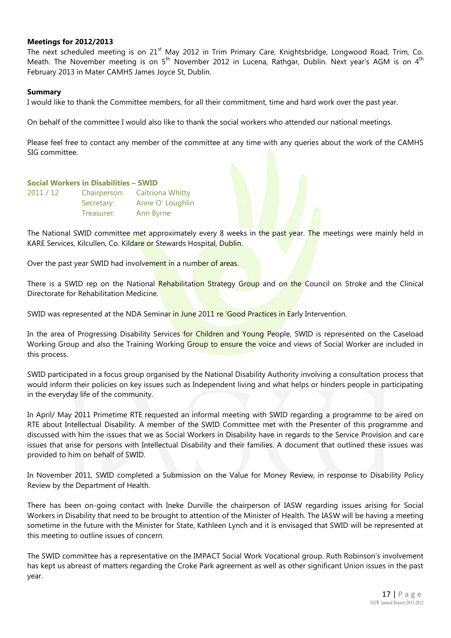#### **Meetings for 2012/2013**

The next scheduled meeting is on 21<sup>st</sup> May 2012 in Trim Primary Care, Knightsbridge, Longwood Road, Trim, Co. Meath. The November meeting is on 5<sup>th</sup> November 2012 in Lucena, Rathgar, Dublin. Next year's AGM is on 4<sup>th</sup> February 2013 in Mater CAMHS James Joyce St, Dublin.

#### **Summary**

I would like to thank the Committee members, for all their commitment, time and hard work over the past year.

On behalf of the committee I would also like to thank the social workers who attended our national meetings.

Please feel free to contact any member of the committee at any time with any queries about the work of the CAMHS SIG committee.

#### **Social Workers in Disabilities – SWID**

| 2011 / 12 | Chairperson: | <b>Caitriona Whitty</b> |
|-----------|--------------|-------------------------|
|           | Secretary:   | Anne O' Loughlin        |
|           | Treasurer:   | Ann Byrne               |

The National SWID committee met approximately every 8 weeks in the past year. The meetings were mainly held in KARE Services, Kilcullen, Co. Kildare or Stewards Hospital, Dublin.

Over the past year SWID had involvement in a number of areas.

There is a SWID rep on the National Rehabilitation Strategy Group and on the Council on Stroke and the Clinical Directorate for Rehabilitation Medicine.

SWID was represented at the NDA Seminar in June 2011 re 'Good Practices in Early Intervention.

In the area of Progressing Disability Services for Children and Young People, SWID is represented on the Caseload Working Group and also the Training Working Group to ensure the voice and views of Social Worker are included in this process.

SWID participated in a focus group organised by the National Disability Authority involving a consultation process that would inform their policies on key issues such as Independent living and what helps or hinders people in participating in the everyday life of the community.

In April/ May 2011 Primetime RTE requested an informal meeting with SWID regarding a programme to be aired on RTE about Intellectual Disability. A member of the SWID Committee met with the Presenter of this programme and discussed with him the issues that we as Social Workers in Disability have in regards to the Service Provision and care issues that arise for persons with Intellectual Disability and their families. A document that outlined these issues was provided to him on behalf of SWID.

In November 2011, SWID completed a Submission on the Value for Money Review, in response to Disability Policy Review by the Department of Health.

There has been on-going contact with Ineke Durville the chairperson of IASW regarding issues arising for Social Workers in Disability that need to be brought to attention of the Minister of Health. The IASW will be having a meeting sometime in the future with the Minister for State, Kathleen Lynch and it is envisaged that SWID will be represented at this meeting to outline issues of concern.

The SWID committee has a representative on the IMPACT Social Work Vocational group. Ruth Robinson's involvement has kept us abreast of matters regarding the Croke Park agreement as well as other significant Union issues in the past year.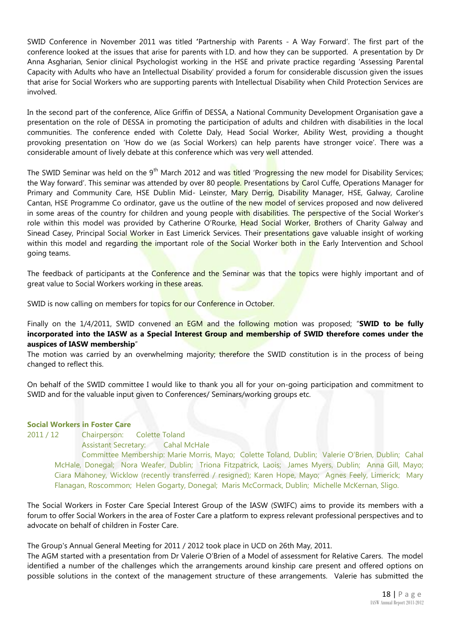SWID Conference in November 2011 was titled **'**Partnership with Parents - A Way Forward'. The first part of the conference looked at the issues that arise for parents with I.D. and how they can be supported. A presentation by Dr Anna Asgharian, Senior clinical Psychologist working in the HSE and private practice regarding 'Assessing Parental Capacity with Adults who have an Intellectual Disability' provided a forum for considerable discussion given the issues that arise for Social Workers who are supporting parents with Intellectual Disability when Child Protection Services are involved.

In the second part of the conference, Alice Griffin of DESSA, a National Community Development Organisation gave a presentation on the role of DESSA in promoting the participation of adults and children with disabilities in the local communities. The conference ended with Colette Daly, Head Social Worker, Ability West, providing a thought provoking presentation on 'How do we (as Social Workers) can help parents have stronger voice'. There was a considerable amount of lively debate at this conference which was very well attended.

The SWID Seminar was held on the 9<sup>th</sup> March 2012 and was titled 'Progressing the new model for Disability Services; the Way forward'. This seminar was attended by over 80 people. Presentations by Carol Cuffe, Operations Manager for Primary and Community Care, HSE Dublin Mid- Leinster, Mary Derrig, Disability Manager, HSE, Galway, Caroline Cantan, HSE Programme Co ordinator, gave us the outline of the new model of services proposed and now delivered in some areas of the country for children and young people with disabilities. The perspective of the Social Worker's role within this model was provided by Catherine O'Rourke, Head Social Worker, Brothers of Charity Galway and Sinead Casey, Principal Social Worker in East Limerick Services. Their presentations gave valuable insight of working within this model and regarding the important role of the Social Worker both in the Early Intervention and School going teams.

The feedback of participants at the Conference and the Seminar was that the topics were highly important and of great value to Social Workers working in these areas.

SWID is now calling on members for topics for our Conference in October.

Finally on the 1/4/2011, SWID convened an EGM and the following motion was proposed; "**SWID to be fully incorporated into the IASW as a Special Interest Group and membership of SWID therefore comes under the auspices of IASW membership**"

The motion was carried by an overwhelming majority; therefore the SWID constitution is in the process of being changed to reflect this.

On behalf of the SWID committee I would like to thank you all for your on-going participation and commitment to SWID and for the valuable input given to Conferences/ Seminars/working groups etc.

#### **Social Workers in Foster Care**

2011 / 12 Chairperson: Colette Toland Assistant Secretary: Cahal McHale Committee Membership: Marie Morris, Mayo; Colette Toland, Dublin; Valerie O'Brien, Dublin; Cahal McHale, Donegal; Nora Weafer, Dublin; Triona Fitzpatrick, Laois; James Myers, Dublin; Anna Gill, Mayo; Ciara Mahoney, Wicklow (recently transferred / resigned); Karen Hope, Mayo; Agnes Feely, Limerick; Mary Flanagan, Roscommon; Helen Gogarty, Donegal; Maris McCormack, Dublin; Michelle McKernan, Sligo.

The Social Workers in Foster Care Special Interest Group of the IASW (SWIFC) aims to provide its members with a forum to offer Social Workers in the area of Foster Care a platform to express relevant professional perspectives and to advocate on behalf of children in Foster Care.

The Group's Annual General Meeting for 2011 / 2012 took place in UCD on 26th May, 2011.

The AGM started with a presentation from Dr Valerie O'Brien of a Model of assessment for Relative Carers. The model identified a number of the challenges which the arrangements around kinship care present and offered options on possible solutions in the context of the management structure of these arrangements. Valerie has submitted the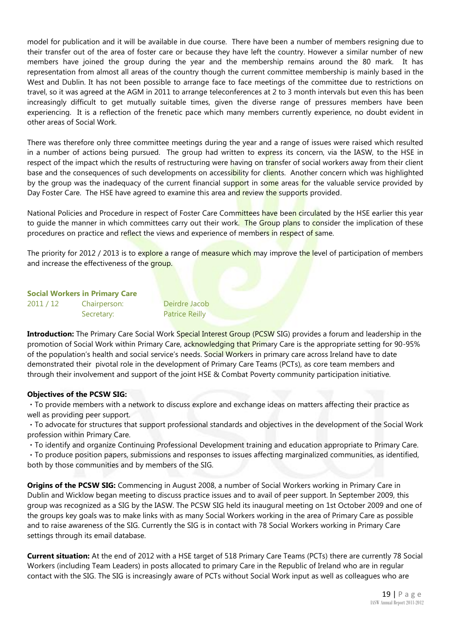model for publication and it will be available in due course. There have been a number of members resigning due to their transfer out of the area of foster care or because they have left the country. However a similar number of new members have joined the group during the year and the membership remains around the 80 mark. It has representation from almost all areas of the country though the current committee membership is mainly based in the West and Dublin. It has not been possible to arrange face to face meetings of the committee due to restrictions on travel, so it was agreed at the AGM in 2011 to arrange teleconferences at 2 to 3 month intervals but even this has been increasingly difficult to get mutually suitable times, given the diverse range of pressures members have been experiencing. It is a reflection of the frenetic pace which many members currently experience, no doubt evident in other areas of Social Work.

There was therefore only three committee meetings during the year and a range of issues were raised which resulted in a number of actions being pursued. The group had written to express its concern, via the IASW, to the HSE in respect of the impact which the results of restructuring were having on transfer of social workers away from their client base and the consequences of such developments on accessibility for clients. Another concern which was highlighted by the group was the inadequacy of the current financial support in some areas for the valuable service provided by Day Foster Care. The HSE have agreed to examine this area and review the supports provided.

National Policies and Procedure in respect of Foster Care Committees have been circulated by the HSE earlier this year to guide the manner in which committees carry out their work. The Group plans to consider the implication of these procedures on practice and reflect the views and experience of members in respect of same.

The priority for 2012 / 2013 is to explore a range of measure which may improve the level of participation of members and increase the effectiveness of the **group**.

|           | <b>Social Workers in Primary Care</b> |                       |
|-----------|---------------------------------------|-----------------------|
| 2011 / 12 | Chairperson:                          | Deirdre Jacob         |
|           | Secretary:                            | <b>Patrice Reilly</b> |

**Introduction:** The Primary Care Social Work Special Interest Group (PCSW SIG) provides a forum and leadership in the promotion of Social Work within Primary Care, acknowledging that Primary Care is the appropriate setting for 90-95% of the population's health and social service's needs. Social Workers in primary care across Ireland have to date demonstrated their pivotal role in the development of Primary Care Teams (PCTs), as core team members and through their involvement and support of the joint HSE & Combat Poverty community participation initiative.

#### **Objectives of the PCSW SIG:**

To provide members with a network to discuss explore and exchange ideas on matters affecting their practice as well as providing peer support.

To advocate for structures that support professional standards and objectives in the development of the Social Work profession within Primary Care.

To identify and organize Continuing Professional Development training and education appropriate to Primary Care.

To produce position papers, submissions and responses to issues affecting marginalized communities, as identified, both by those communities and by members of the SIG.

**Origins of the PCSW SIG:** Commencing in August 2008, a number of Social Workers working in Primary Care in Dublin and Wicklow began meeting to discuss practice issues and to avail of peer support. In September 2009, this group was recognized as a SIG by the IASW. The PCSW SIG held its inaugural meeting on 1st October 2009 and one of the groups key goals was to make links with as many Social Workers working in the area of Primary Care as possible and to raise awareness of the SIG. Currently the SIG is in contact with 78 Social Workers working in Primary Care settings through its email database.

**Current situation:** At the end of 2012 with a HSE target of 518 Primary Care Teams (PCTs) there are currently 78 Social Workers (including Team Leaders) in posts allocated to primary Care in the Republic of Ireland who are in regular contact with the SIG. The SIG is increasingly aware of PCTs without Social Work input as well as colleagues who are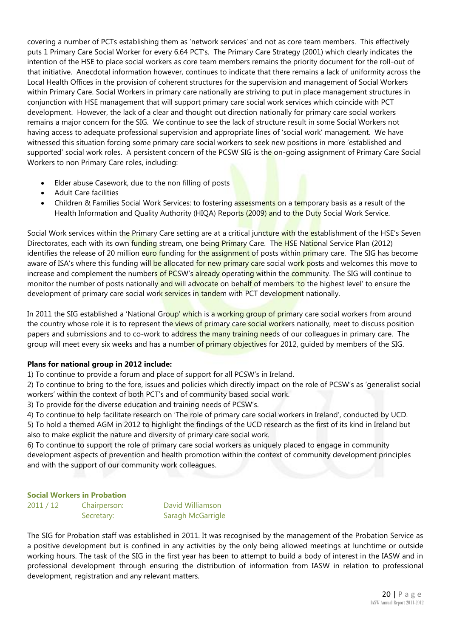covering a number of PCTs establishing them as 'network services' and not as core team members. This effectively puts 1 Primary Care Social Worker for every 6.64 PCT's. The Primary Care Strategy (2001) which clearly indicates the intention of the HSE to place social workers as core team members remains the priority document for the roll-out of that initiative. Anecdotal information however, continues to indicate that there remains a lack of uniformity across the Local Health Offices in the provision of coherent structures for the supervision and management of Social Workers within Primary Care. Social Workers in primary care nationally are striving to put in place management structures in conjunction with HSE management that will support primary care social work services which coincide with PCT development. However, the lack of a clear and thought out direction nationally for primary care social workers remains a major concern for the SIG. We continue to see the lack of structure result in some Social Workers not having access to adequate professional supervision and appropriate lines of 'social work' management. We have witnessed this situation forcing some primary care social workers to seek new positions in more 'established and supported' social work roles. A persistent concern of the PCSW SIG is the on-going assignment of Primary Care Social Workers to non Primary Care roles, including:

- Elder abuse Casework, due to the non filling of posts
- Adult Care facilities
- Children & Families Social Work Services: to fostering assessments on a temporary basis as a result of the Health Information and Quality Authority (HIQA) Reports (2009) and to the Duty Social Work Service.

Social Work services within the Primary Care setting are at a critical juncture with the establishment of the HSE's Seven Directorates, each with its own funding stream, one being Primary Care. The HSE National Service Plan (2012) identifies the release of 20 million euro funding for the assignment of posts within primary care. The SIG has become aware of ISA's where this funding will be allocated for new primary care social work posts and welcomes this move to increase and complement the numbers of PCSW's already operating within the community. The SIG will continue to monitor the number of posts nationally and will advocate on behalf of members 'to the highest level' to ensure the development of primary care social work services in tandem with PCT development nationally.

In 2011 the SIG established a 'National Group' which is a working group of primary care social workers from around the country whose role it is to represent the views of primary care social workers nationally, meet to discuss position papers and submissions and to co-work to address the many training needs of our colleagues in primary care. The group will meet every six weeks and has a number of primary objectives for 2012, quided by members of the SIG.

#### **Plans for national group in 2012 include:**

1) To continue to provide a forum and place of support for all PCSW's in Ireland.

2) To continue to bring to the fore, issues and policies which directly impact on the role of PCSW's as 'generalist social workers' within the context of both PCT's and of community based social work.

3) To provide for the diverse education and training needs of PCSW's.

4) To continue to help facilitate research on 'The role of primary care social workers in Ireland', conducted by UCD. 5) To hold a themed AGM in 2012 to highlight the findings of the UCD research as the first of its kind in Ireland but also to make explicit the nature and diversity of primary care social work.

6) To continue to support the role of primary care social workers as uniquely placed to engage in community development aspects of prevention and health promotion within the context of community development principles and with the support of our community work colleagues.

#### **Social Workers in Probation**

2011 / 12 Chairperson: David Williamson Secretary: Saragh McGarrigle

The SIG for Probation staff was established in 2011. It was recognised by the management of the Probation Service as a positive development but is confined in any activities by the only being allowed meetings at lunchtime or outside working hours. The task of the SIG in the first year has been to attempt to build a body of interest in the IASW and in professional development through ensuring the distribution of information from IASW in relation to professional development, registration and any relevant matters.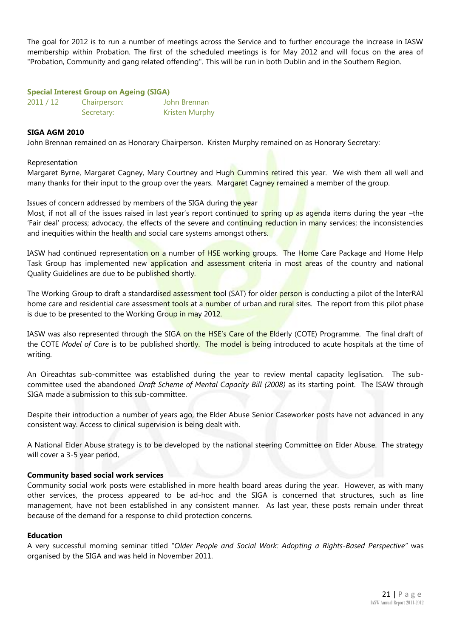The goal for 2012 is to run a number of meetings across the Service and to further encourage the increase in IASW membership within Probation. The first of the scheduled meetings is for May 2012 and will focus on the area of "Probation, Community and gang related offending". This will be run in both Dublin and in the Southern Region.

#### **Special Interest Group on Ageing (SIGA)**

| 2011 / 12 | Chairperson: | John Brennan          |  |
|-----------|--------------|-----------------------|--|
|           | Secretary:   | <b>Kristen Murphy</b> |  |

#### **SIGA AGM 2010**

John Brennan remained on as Honorary Chairperson. Kristen Murphy remained on as Honorary Secretary:

#### Representation

Margaret Byrne, Margaret Cagney, Mary Courtney and Hugh Cummins retired this year. We wish them all well and many thanks for their input to the group over the years. Margaret Cagney remained a member of the group.

Issues of concern addressed by members of the SIGA during the year

Most, if not all of the issues raised in last year's report continued to spring up as agenda items during the year –the 'Fair deal' process; advocacy, the effects of the severe and continuing reduction in many services; the inconsistencies and inequities within the health and social care systems amongst others.

IASW had continued representation on a number of HSE working groups. The Home Care Package and Home Help Task Group has implemented new application and assessment criteria in most areas of the country and national Quality Guidelines are due to be published shortly.

The Working Group to draft a standardised assessment tool (SAT) for older person is conducting a pilot of the InterRAI home care and residential care assessment tools at a number of urban and rural sites. The report from this pilot phase is due to be presented to the Working Group in may 2012.

IASW was also represented through the SIGA on the HSE's Care of the Elderly (COTE) Programme. The final draft of the COTE *Model of Care* is to be published shortly. The model is being introduced to acute hospitals at the time of writing.

An Oireachtas sub-committee was established during the year to review mental capacity leglisation. The subcommittee used the abandoned *Draft Scheme of Mental Capacity Bill (2008)* as its starting point. The ISAW through SIGA made a submission to this sub-committee.

Despite their introduction a number of years ago, the Elder Abuse Senior Caseworker posts have not advanced in any consistent way. Access to clinical supervision is being dealt with.

A National Elder Abuse strategy is to be developed by the national steering Committee on Elder Abuse. The strategy will cover a 3-5 year period,

#### **Community based social work services**

Community social work posts were established in more health board areas during the year. However, as with many other services, the process appeared to be ad-hoc and the SIGA is concerned that structures, such as line management, have not been established in any consistent manner. As last year, these posts remain under threat because of the demand for a response to child protection concerns.

#### **Education**

A very successful morning seminar titled "*Older People and Social Work: Adopting a Rights-Based Perspective"* was organised by the SIGA and was held in November 2011.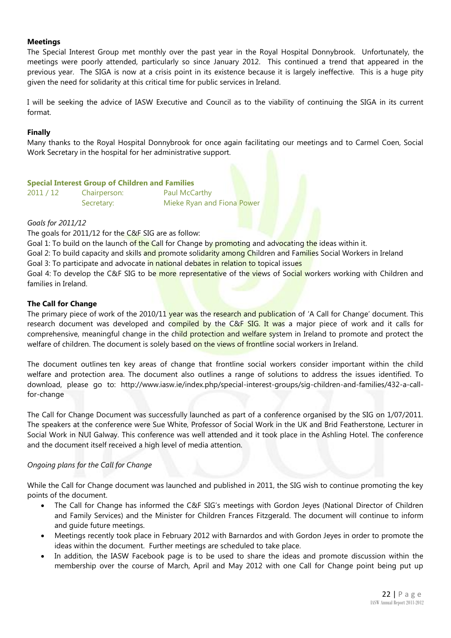#### **Meetings**

The Special Interest Group met monthly over the past year in the Royal Hospital Donnybrook. Unfortunately, the meetings were poorly attended, particularly so since January 2012. This continued a trend that appeared in the previous year. The SIGA is now at a crisis point in its existence because it is largely ineffective. This is a huge pity given the need for solidarity at this critical time for public services in Ireland.

I will be seeking the advice of IASW Executive and Council as to the viability of continuing the SIGA in its current format.

#### **Finally**

Many thanks to the Royal Hospital Donnybrook for once again facilitating our meetings and to Carmel Coen, Social Work Secretary in the hospital for her administrative support.

#### **Special Interest Group of Children and Families**

| 2011 / 12 | Chairperson: |
|-----------|--------------|
|           | Secretary:   |

Paul McCarthy Mieke Ryan and Fiona Power

#### *Goals for 2011/12*

The goals for 2011/12 for the C&F SIG are as follow:

Goal 1: To build on the launch of the Call for Change by promoting and advocating the ideas within it.

Goal 2: To build capacity and skills and promote solidarity among Children and Families Social Workers in Ireland

Goal 3: To participate and advocate in national debates in relation to topical issues

Goal 4: To develop the C&F SIG to be more representative of the views of Social workers working with Children and families in Ireland.

#### **The Call for Change**

The primary piece of work of the 2010/11 year was the research and publication of 'A Call for Change' document. This research document was developed and compiled by the C&F SIG. It was a major piece of work and it calls for comprehensive, meaningful change in the child protection and welfare system in Ireland to promote and protect the welfare of children. The document is solely based on the views of frontline social workers in Ireland.

The document outlines ten key areas of change that frontline social workers consider important within the child welfare and protection area. The document also outlines a range of solutions to address the issues identified. To download, please go to: [http://www.iasw.ie/index.php/special-interest-groups/sig-children-and-families/432-a-call](http://www.iasw.ie/index.php/special-interest-groups/sig-children-and-families/432-a-call-for-change)[for-change](http://www.iasw.ie/index.php/special-interest-groups/sig-children-and-families/432-a-call-for-change)

The Call for Change Document was successfully launched as part of a conference organised by the SIG on 1/07/2011. The speakers at the conference were Sue White, Professor of Social Work in the UK and Brid Featherstone, Lecturer in Social Work in NUI Galway. This conference was well attended and it took place in the Ashling Hotel. The conference and the document itself received a high level of media attention.

#### *Ongoing plans for the Call for Change*

While the Call for Change document was launched and published in 2011, the SIG wish to continue promoting the key points of the document.

- The Call for Change has informed the C&F SIG's meetings with Gordon Jeyes (National Director of Children and Family Services) and the Minister for Children Frances Fitzgerald. The document will continue to inform and guide future meetings.
- Meetings recently took place in February 2012 with Barnardos and with Gordon Jeyes in order to promote the ideas within the document. Further meetings are scheduled to take place.
- In addition, the IASW Facebook page is to be used to share the ideas and promote discussion within the membership over the course of March, April and May 2012 with one Call for Change point being put up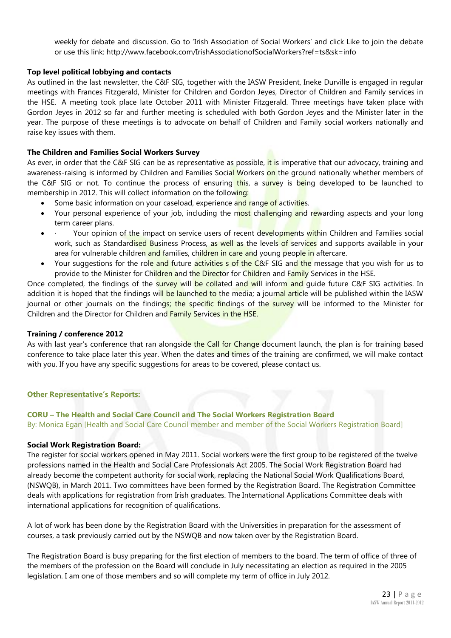weekly for debate and discussion. Go to 'Irish Association of Social Workers' and click Like to join the debate or use this link:<http://www.facebook.com/IrishAssociationofSocialWorkers?ref=ts&sk=info>

#### **Top level political lobbying and contacts**

As outlined in the last newsletter, the C&F SIG, together with the IASW President, Ineke Durville is engaged in regular meetings with Frances Fitzgerald, Minister for Children and Gordon Jeyes, Director of Children and Family services in the HSE. A meeting took place late October 2011 with Minister Fitzgerald. Three meetings have taken place with Gordon Jeyes in 2012 so far and further meeting is scheduled with both Gordon Jeyes and the Minister later in the year. The purpose of these meetings is to advocate on behalf of Children and Family social workers nationally and raise key issues with them.

#### **The Children and Families Social Workers Survey**

As ever, in order that the C&F SIG can be as representative as possible, it is imperative that our advocacy, training and awareness-raising is informed by Children and Families Social Workers on the ground nationally whether members of the C&F SIG or not. To continue the process of ensuring this, a survey is being developed to be launched to membership in 2012. This will collect information on the following:

- Some basic information on your caseload, experience and range of activities.
- Your personal experience of your job, including the most challenging and rewarding aspects and your long term career plans.
- Your opinion of the impact on service users of recent developments within Children and Families social work, such as Standardised Business Process, as well as the levels of services and supports available in your area for vulnerable children and families, children in care and young people in aftercare.
- Your suggestions for the role and future activities s of the C&F SIG and the message that you wish for us to provide to the Minister for Children and the Director for Children and Family Services in the HSE.

Once completed, the findings of the survey will be collated and will inform and quide future C&F SIG activities. In addition it is hoped that the findings will be launched to the media; a journal article will be published within the IASW journal or other journals on the findings; the specific findings of the survey will be informed to the Minister for Children and the Director for Children and Family Services in the HSE.

#### **Training / conference 2012**

As with last year's conference that ran alongside the Call for Change document launch, the plan is for training based conference to take place later this year. When the dates and times of the training are confirmed, we will make contact with you. If you have any specific suggestions for areas to be covered, please contact us.

#### **Other Representative's Reports:**

**CORU – The Health and Social Care Council and The Social Workers Registration Board** By: Monica Egan [Health and Social Care Council member and member of the Social Workers Registration Board]

#### **Social Work Registration Board:**

The register for social workers opened in May 2011. Social workers were the first group to be registered of the twelve professions named in the Health and Social Care Professionals Act 2005. The Social Work Registration Board had already become the competent authority for social work, replacing the National Social Work Qualifications Board, (NSWQB), in March 2011. Two committees have been formed by the Registration Board. The Registration Committee deals with applications for registration from Irish graduates. The International Applications Committee deals with international applications for recognition of qualifications.

A lot of work has been done by the Registration Board with the Universities in preparation for the assessment of courses, a task previously carried out by the NSWQB and now taken over by the Registration Board.

The Registration Board is busy preparing for the first election of members to the board. The term of office of three of the members of the profession on the Board will conclude in July necessitating an election as required in the 2005 legislation. I am one of those members and so will complete my term of office in July 2012.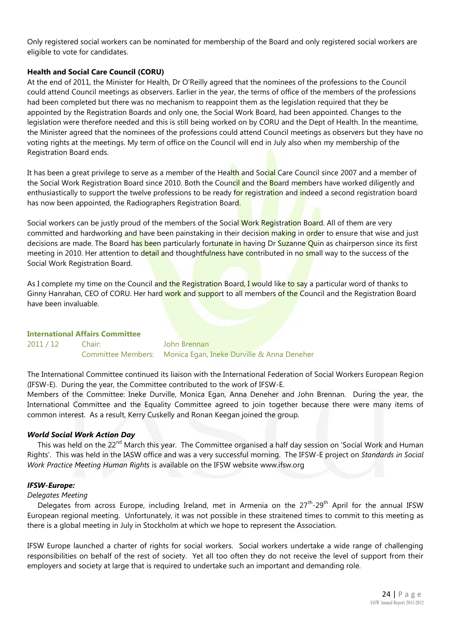Only registered social workers can be nominated for membership of the Board and only registered social workers are eligible to vote for candidates.

#### **Health and Social Care Council (CORU)**

At the end of 2011, the Minister for Health, Dr O'Reilly agreed that the nominees of the professions to the Council could attend Council meetings as observers. Earlier in the year, the terms of office of the members of the professions had been completed but there was no mechanism to reappoint them as the legislation required that they be appointed by the Registration Boards and only one, the Social Work Board, had been appointed. Changes to the legislation were therefore needed and this is still being worked on by CORU and the Dept of Health. In the meantime, the Minister agreed that the nominees of the professions could attend Council meetings as observers but they have no voting rights at the meetings. My term of office on the Council will end in July also when my membership of the Registration Board ends.

It has been a great privilege to serve as a member of the Health and Social Care Council since 2007 and a member of the Social Work Registration Board since 2010. Both the Council and the Board members have worked diligently and enthusiastically to support the twelve professions to be ready for registration and indeed a second registration board has now been appointed, the Radiographers Registration Board.

Social workers can be justly proud of the members of the Social Work Registration Board. All of them are very committed and hardworking and have been painstaking in their decision making in order to ensure that wise and just decisions are made. The Board has been particularly fortunate in having Dr Suzanne Quin as chairperson since its first meeting in 2010. Her attention to detail and thoughtfulness have contributed in no small way to the success of the Social Work Registration Board.

As I complete my time on the Council and the Registration Board, I would like to say a particular word of thanks to Ginny Hanrahan, CEO of CORU. Her hard work and support to all members of the Council and the Registration Board have been invaluable.

#### **International Affairs Committee**

2011 / 12 Chair: John Brennan Committee Members: Monica Egan, Ineke Durville & Anna Deneher

The International Committee continued its liaison with the International Federation of Social Workers European Region (IFSW-E). During the year, the Committee contributed to the work of IFSW-E.

Members of the Committee: Ineke Durville, Monica Egan, Anna Deneher and John Brennan. During the year, the International Committee and the Equality Committee agreed to join together because there were many items of common interest. As a result, Kerry Cuskelly and Ronan Keegan joined the group.

#### *World Social Work Action Day*

This was held on the 22<sup>nd</sup> March this year. The Committee organised a half day session on 'Social Work and Human Rights'. This was held in the IASW office and was a very successful morning. The IFSW-E project on *Standards in Social Work Practice Meeting Human Rights* is available on the IFSW website [www.ifsw.org](http://www.ifsw.org/)

#### *IFSW-Europe:*

#### *Delegates Meeting*

Delegates from across Europe, including Ireland, met in Armenia on the 27<sup>th</sup>-29<sup>th</sup> April for the annual IFSW European regional meeting. Unfortunately, it was not possible in these straitened times to commit to this meeting as there is a global meeting in July in Stockholm at which we hope to represent the Association.

IFSW Europe launched a charter of rights for social workers. Social workers undertake a wide range of challenging responsibilities on behalf of the rest of society. Yet all too often they do not receive the level of support from their employers and society at large that is required to undertake such an important and demanding role.